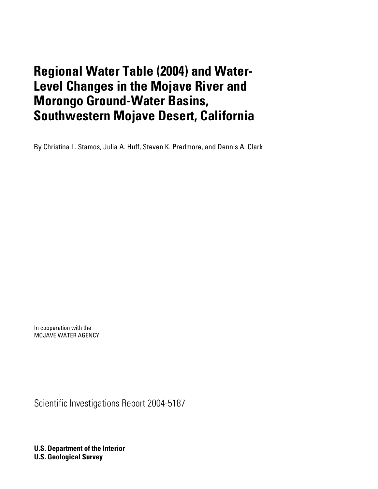# **Regional Water Table (2004) and Water-Level Changes in the Mojave River and Morongo Ground-Water Basins, Southwestern Mojave Desert, California**

By Christina L. Stamos, Julia A. Huff, Steven K. Predmore, and Dennis A. Clark

In cooperation with the MOJAVE WATER AGENCY

Scientific Investigations Report 2004-5187

**U.S. Department of the Interior U.S. Geological Survey**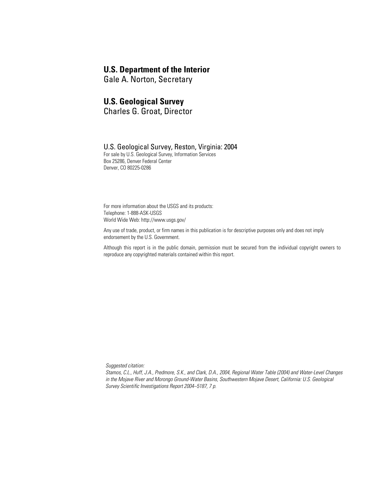### **U.S. Department of the Interior**

Gale A. Norton, Secretary

### **U.S. Geological Survey**

Charles G. Groat, Director

### U.S. Geological Survey, Reston, Virginia: 2004

For sale by U.S. Geological Survey, Information Services Box 25286, Denver Federal Center Denver, CO 80225-0286

For more information about the USGS and its products: Telephone: 1-888-ASK-USGS World Wide Web: http://www.usgs.gov/

Any use of trade, product, or firm names in this publication is for descriptive purposes only and does not imply endorsement by the U.S. Government.

Although this report is in the public domain, permission must be secured from the individual copyright owners to reproduce any copyrighted materials contained within this report.

*Suggested citation:*

*Stamos, C.L., Huff, J.A., Predmore, S.K., and Clark, D.A., 2004, Regional Water Table (2004) and Water-Level Changes in the Mojave River and Morongo Ground-Water Basins, Southwestern Mojave Desert, California: U.S. Geological Survey Scientific Investigations Report 2004–5187, 7 p.*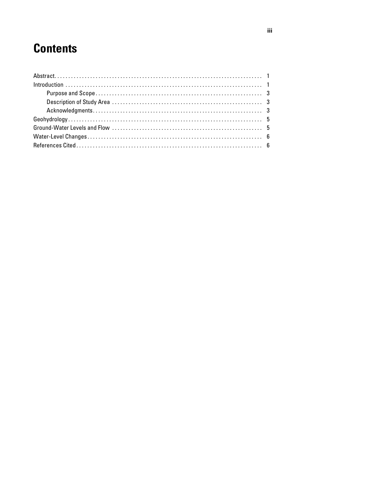# **Contents**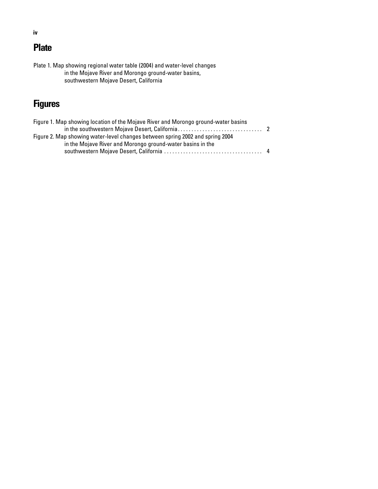## **Plate**

Plate 1. Map showing regional water table (2004) and water-level changes in the Mojave River and Morongo ground-water basins, southwestern Mojave Desert, California

## **Figures**

| Figure 1. Map showing location of the Mojave River and Morongo ground-water basins |  |
|------------------------------------------------------------------------------------|--|
| Figure 2. Map showing water-level changes between spring 2002 and spring 2004      |  |
| in the Mojave River and Morongo ground-water basins in the                         |  |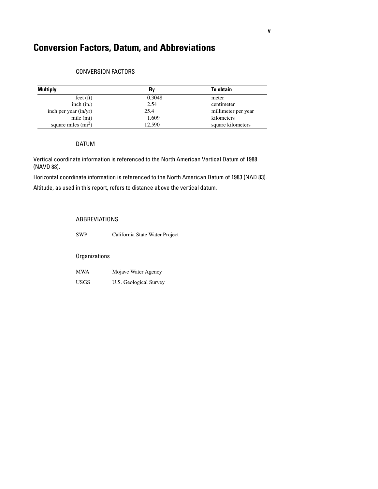## **Conversion Factors, Datum, and Abbreviations**

### CONVERSION FACTORS

| <b>Multiply</b>       | Bv     | <b>To obtain</b>    |
|-----------------------|--------|---------------------|
| $f$ eet $(ft)$        | 0.3048 | meter               |
| inch $(in.)$          | 2.54   | centimeter          |
| inch per year (in/yr) | 25.4   | millimeter per year |
| mile (mi)             | 1.609  | kilometers          |
| square miles $(mi^2)$ | 12.590 | square kilometers   |

#### DATUM

Vertical coordinate information is referenced to the North American Vertical Datum of 1988 (NAVD 88).

Horizontal coordinate information is referenced to the North American Datum of 1983 (NAD 83).

Altitude, as used in this report, refers to distance above the vertical datum.

### ABBREVIATIONS

SWP California State Water Project

### **Organizations**

| <b>MWA</b>  | Mojave Water Agency    |
|-------------|------------------------|
| <b>USGS</b> | U.S. Geological Survey |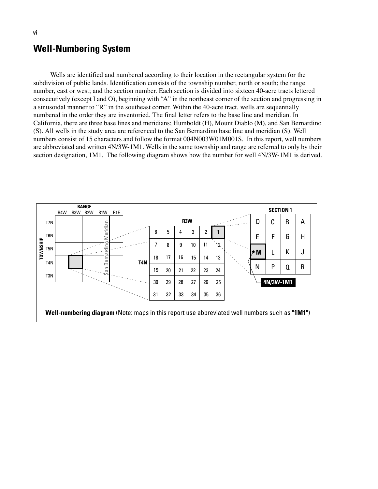## **Well-Numbering System**

Wells are identified and numbered according to their location in the rectangular system for the subdivision of public lands. Identification consists of the township number, north or south; the range number, east or west; and the section number. Each section is divided into sixteen 40-acre tracts lettered consecutively (except I and O), beginning with "A" in the northeast corner of the section and progressing in a sinusoidal manner to "R" in the southeast corner. Within the 40-acre tract, wells are sequentially numbered in the order they are inventoried. The final letter refers to the base line and meridian. In California, there are three base lines and meridians; Humboldt (H), Mount Diablo (M), and San Bernardino (S). All wells in the study area are referenced to the San Bernardino base line and meridian (S). Well numbers consist of 15 characters and follow the format 004N003W01M001S. In this report, well numbers are abbreviated and written 4N/3W-1M1. Wells in the same township and range are referred to only by their section designation, 1M1. The following diagram shows how the number for well 4N/3W-1M1 is derived.

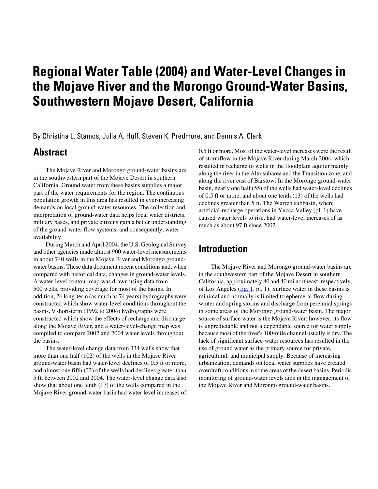# **Regional Water Table (2004) and Water-Level Changes in the Mojave River and the Morongo Ground-Water Basins, Southwestern Mojave Desert, California**

By Christina L. Stamos, Julia A. Huff, Steven K. Predmore, and Dennis A. Clark

## **Abstract**

The Mojave River and Morongo ground-water basins are in the southwestern part of the Mojave Desert in southern California. Ground water from these basins supplies a major part of the water requirements for the region. The continuous population growth in this area has resulted in ever-increasing demands on local ground-water resources. The collection and interpretation of ground-water data helps local water districts, military bases, and private citizens gain a better understanding of the ground-water flow systems, and consequently, water availability.

During March and April 2004, the U.S. Geological Survey and other agencies made almost 900 water-level measurements in about 740 wells in the Mojave River and Morongo groundwater basins. These data document recent conditions and, when compared with historical data, changes in ground-water levels. A water-level contour map was drawn using data from 500 wells, providing coverage for most of the basins. In addition, 26 long-term (as much as 74 years) hydrographs were constructed which show water-level conditions throughout the basins, 9 short-term (1992 to 2004) hydrographs were constructed which show the effects of recharge and discharge along the Mojave River, and a water-level-change map was compiled to compare 2002 and 2004 water levels throughout the basins.

The water-level change data from 334 wells show that more than one half (102) of the wells in the Mojave River ground-water basin had water-level declines of 0.5 ft or more, and almost one fifth (32) of the wells had declines greater than 5 ft. between 2002 and 2004. The water-level change data also show that about one tenth (17) of the wells compared in the Mojave River ground-water basin had water level increases of 0.5 ft or more. Most of the water-level increases were the result of stormflow in the Mojave River during March 2004, which resulted in recharge to wells in the floodplain aquifer mainly along the river in the Alto subarea and the Transition zone, and along the river east of Barstow. In the Morongo ground-water basin, nearly one half (55) of the wells had water-level declines of 0.5 ft or more, and about one tenth (13) of the wells had declines greater than 5 ft. The Warren subbasin, where artificial-recharge operations in Yucca Valley (pl. 1) have caused water levels to rise, had water-level increases of as much as about 97 ft since 2002.

## **Introduction**

The Mojave River and Morongo ground-water basins are in the southwestern part of the Mojave Desert in southern California, approximately 80 and 40 mi northeast, respectively, of Los Angeles  $(f_ig, 1, pl. 1)$ . Surface water in these basins is minimal and normally is limited to ephemeral flow during winter and spring storms and discharge from perennial springs in some areas of the Morongo ground-water basin. The major source of surface water is the Mojave River; however, its flow is unpredictable and not a dependable source for water supply because most of the river's 100-mile channel usually is dry. The lack of significant surface-water resources has resulted in the use of ground water as the primary source for private, agricultural, and municipal supply. Because of increasing urbanization, demands on local water supplies have created overdraft conditions in some areas of the desert basins. Periodic monitoring of ground-water levels aids in the management of the Mojave River and Morongo ground-water basins.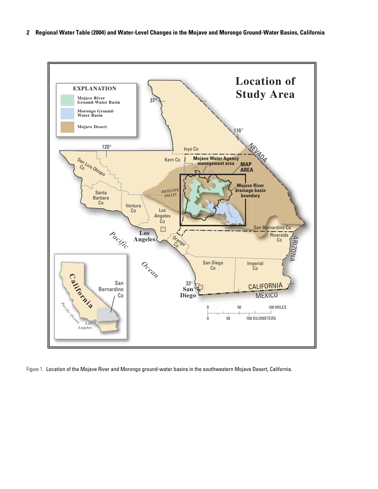

<span id="page-7-0"></span>

Figure 1. Location of the Mojave River and Morongo ground-water basins in the southwestern Mojave Desert, California.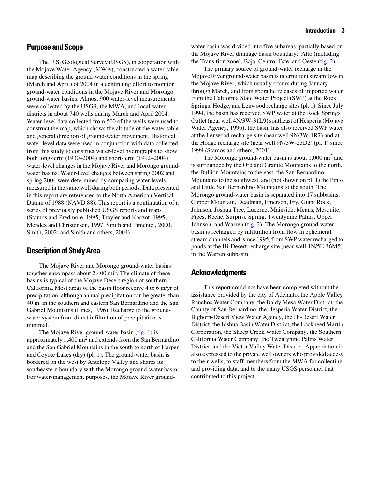### **Purpose and Scope**

The U.S. Geological Survey (USGS), in cooperation with the Mojave Water Agency (MWA), constructed a water-table map describing the ground-water conditions in the spring (March and April) of 2004 in a continuing effort to monitor ground-water conditions in the Mojave River and Morongo ground-water basins. Almost 900 water-level measurements were collected by the USGS, the MWA, and local water districts in about 740 wells during March and April 2004. Water-level data collected from 500 of the wells were used to construct the map, which shows the altitude of the water table and general direction of ground-water movement. Historical water-level data were used in conjunction with data collected from this study to construct water-level hydrographs to show both long-term (1930–2004) and short-term (1992–2004) water-level changes in the Mojave River and Morongo groundwater basins. Water-level changes between spring 2002 and spring 2004 were determined by comparing water levels measured in the same well during both periods. Data presented in this report are referenced to the North American Vertical Datum of 1988 (NAVD 88). This report is a continuation of a series of previously published USGS reports and maps (Stamos and Predmore, 1995; Trayler and Koczot, 1995; Mendez and Christensen, 1997, Smith and Pimentel, 2000; Smith, 2002; and Smith and others, 2004).

### **Description of Study Area**

The Mojave River and Morongo ground-water basins together encompass about  $2,400 \text{ mi}^2$ . The climate of these basins is typical of the Mojave Desert region of southern California. Most areas of the basin floor receive 4 to 6 in/yr of precipitation, although annual precipitation can be greater than 40 in. in the southern and eastern San Bernardino and the San Gabriel Mountains (Lines, 1996). Recharge to the groundwater system from direct infiltration of precipitation is minimal.

The Mojave River ground-water basin  $(f_ig, 1)$  is approximately 1,400 mi2 and extends from the San Bernardino and the San Gabriel Mountains in the south to north of Harper and Coyote Lakes (dry) (pl. 1). The ground-water basin is bordered on the west by Antelope Valley and shares its southeastern boundary with the Morongo ground-water basin. For water-management purposes, the Mojave River groundwater basin was divided into five subareas, partially based on the Mojave River drainage basin boundary: Alto (including the Transition zone), Baja, Centro, Este, and Oeste ([fig. 2\)](#page-9-0).

The primary source of ground-water recharge in the Mojave River ground-water basin is intermittent streamflow in the Mojave River, which usually occurs during January through March, and from sporadic releases of imported water from the California State Water Project (SWP) at the Rock Springs, Hodge, and Lenwood recharge sites (pl. 1). Since July 1994, the basin has received SWP water at the Rock Springs Outlet (near well 4N/3W-31L9) southeast of Hesperia (Mojave Water Agency, 1996); the basin has also received SWP water at the Lenwood recharge site (near well 9N/3W-1R7) and at the Hodge recharge site (near well 9N/3W-23D2) (pl. 1) since 1999 (Stamos and others, 2001).

The Morongo ground-water basin is about  $1,000$  mi<sup>2</sup> and is surrounded by the Ord and Granite Mountains to the north, the Bullion Mountains to the east, the San Bernardino Mountains to the southwest, and (not shown on pl. 1) the Pinto and Little San Bernardino Mountains to the south. The Morongo ground-water basin is separated into 17 subbasins: Copper Mountain, Deadman, Emerson, Fry, Giant Rock, Johnson, Joshua Tree, Lucerne, Mainside, Means, Mesquite, Pipes, Reche, Surprise Spring, Twentynine Palms, Upper Johnson, and Warren [\(fig. 2](#page-9-0)). The Morongo ground-water basin is recharged by infiltration from flow in ephemeral stream channels and, since 1995, from SWP water recharged to ponds at the Hi-Desert recharge site (near well 1N/5E-36M5) in the Warren subbasin.

### **Acknowledgments**

This report could not have been completed without the assistance provided by the city of Adelanto, the Apple Valley Ranchos Water Company, the Baldy Mesa Water District, the County of San Bernardino, the Hesperia Water District, the Bighorn-Desert View Water Agency, the Hi-Desert Water District, the Joshua Basin Water District, the Lockheed Martin Corporation, the Sheep Creek Water Company, the Southern California Water Company, the Twentynine Palms Water District, and the Victor Valley Water District. Appreciation is also expressed to the private well owners who provided access to their wells, to staff members from the MWA for collecting and providing data, and to the many USGS personnel that contributed to this project.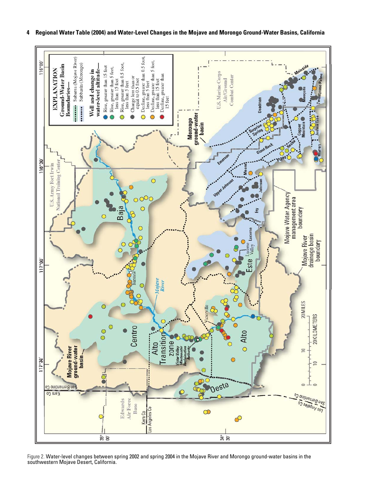<span id="page-9-0"></span>

**4 Regional Water Table (2004) and Water-Level Changes in the Mojave and Morongo Ground-Water Basins, California**

Figure 2. Water-level changes between spring 2002 and spring 2004 in the Mojave River and Morongo ground-water basins in the southwestern Mojave Desert, California.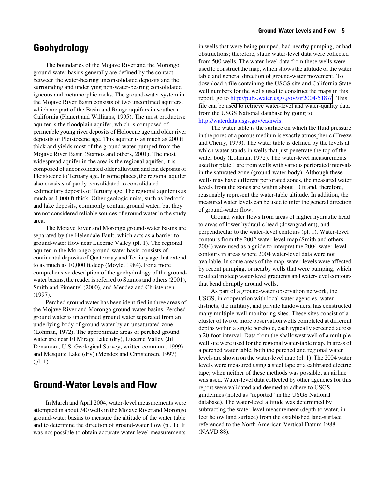## **Geohydrology**

The boundaries of the Mojave River and the Morongo ground-water basins generally are defined by the contact between the water-bearing unconsolidated deposits and the surrounding and underlying non-water-bearing consolidated igneous and metamorphic rocks. The ground-water system in the Mojave River Basin consists of two unconfined aquifers, which are part of the Basin and Range aquifers in southern California (Planert and Williams, 1995). The most productive aquifer is the floodplain aquifer, which is composed of permeable young river deposits of Holocene age and older river deposits of Pleistocene age. This aquifer is as much as 200 ft thick and yields most of the ground water pumped from the Mojave River Basin (Stamos and others, 2001). The most widespread aquifer in the area is the regional aquifer; it is composed of unconsolidated older alluvium and fan deposits of Pleistocene to Tertiary age. In some places, the regional aquifer also consists of partly consolidated to consolidated sedimentary deposits of Tertiary age. The regional aquifer is as much as 1,000 ft thick. Other geologic units, such as bedrock and lake deposits, commonly contain ground water, but they are not considered reliable sources of ground water in the study area.

The Mojave River and Morongo ground-water basins are separated by the Helendale Fault, which acts as a barrier to ground-water flow near Lucerne Valley (pl. 1). The regional aquifer in the Morongo ground-water basin consists of continental deposits of Quaternary and Tertiary age that extend to as much as 10,000 ft deep (Moyle, 1984). For a more comprehensive description of the geohydrology of the groundwater basins, the reader is referred to Stamos and others (2001), Smith and Pimentel (2000), and Mendez and Christensen (1997).

Perched ground water has been identified in three areas of the Mojave River and Morongo ground-water basins. Perched ground water is unconfined ground water separated from an underlying body of ground water by an unsaturated zone (Lohman, 1972). The approximate areas of perched ground water are near El Mirage Lake (dry), Lucerne Valley (Jill Densmore, U.S. Geological Survey, written commun., 1999) and Mesquite Lake (dry) (Mendez and Christensen, 1997) (pl. 1).

## **Ground-Water Levels and Flow**

In March and April 2004, water-level measurements were attempted in about 740 wells in the Mojave River and Morongo ground-water basins to measure the altitude of the water table and to determine the direction of ground-water flow (pl. 1). It was not possible to obtain accurate water-level measurements in wells that were being pumped, had nearby pumping, or had obstructions; therefore, static water-level data were collected from 500 wells. The water-level data from these wells were used to construct the map, which shows the altitude of the water table and general direction of ground-water movement. To download a file containing the USGS site and California State well numbers for the wells used to construct the maps in this report, go to http://pubs.water.usgs.gov/sir2004-5187/. This file can be used to retrieve water-level and water-quality data from the USGS National database by going to [http://waterdata.usgs.gov/ca/nwis.](http://waterdata.usgs.gov/ca/nwis/)

The water table is the surface on which the fluid pressure in the pores of a porous medium is exactly atmospheric (Freeze and Cherry, 1979). The water table is defined by the levels at which water stands in wells that just penetrate the top of the water body (Lohman, 1972). The water-level measurements used for plate 1 are from wells with various perforated intervals in the saturated zone (ground-water body). Although these wells may have different perforated zones, the measured water levels from the zones are within about 10 ft and, therefore, reasonably represent the water-table altitude. In addition, the measured water levels can be used to infer the general direction of ground-water flow.

Ground water flows from areas of higher hydraulic head to areas of lower hydraulic head (downgradient), and perpendicular to the water-level contours (pl. 1). Water-level contours from the 2002 water-level map (Smith and others, 2004) were used as a guide to interpret the 2004 water-level contours in areas where 2004 water-level data were not available. In some areas of the map, water-levels were affected by recent pumping, or nearby wells that were pumping, which resulted in steep water-level gradients and water-level contours that bend abruptly around wells.

As part of a ground-water observation network, the USGS, in cooperation with local water agencies, water districts, the military, and private landowners, has constructed many multiple-well monitoring sites. These sites consist of a cluster of two or more observation wells completed at different depths within a single borehole, each typically screened across a 20-foot interval. Data from the shallowest well of a multiplewell site were used for the regional water-table map. In areas of a perched water table, both the perched and regional water levels are shown on the water-level map (pl. 1). The 2004 water levels were measured using a steel tape or a calibrated electric tape; when neither of these methods was possible, an airline was used. Water-level data collected by other agencies for this report were validated and deemed to adhere to USGS guidelines (noted as "reported" in the USGS National database). The water-level altitude was determined by subtracting the water-level measurement (depth to water, in feet below land surface) from the established land-surface referenced to the North American Vertical Datum 1988 (NAVD 88).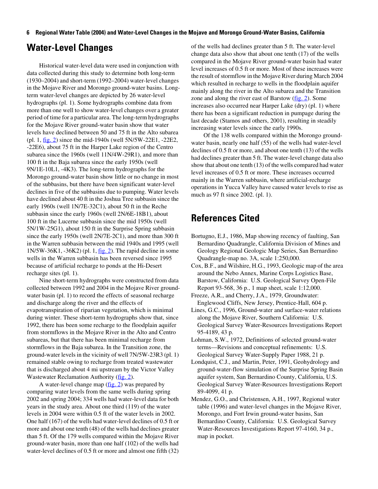#### **6 Regional Water Table (2004) and Water-Level Changes in the Mojave and Morongo Ground-Water Basins, California**

## **Water-Level Changes**

Historical water-level data were used in conjunction with data collected during this study to determine both long-term (1930–2004) and short-term (1992–2004) water-level changes in the Mojave River and Morongo ground-water basins. Longterm water-level changes are depicted by 26 water-level hydrographs (pl. 1). Some hydrographs combine data from more than one well to show water-level changes over a greater period of time for a particular area. The long-term hydrographs for the Mojave River ground-water basin show that water levels have declined between 50 and 75 ft in the Alto subarea (pl. 1,  $\underline{fig. 2}$ ) since the mid-1940s (well 5N/5W-22E1, -22E2, -22E6), about 75 ft in the Harper Lake region of the Centro subarea since the 1960s (well 11N/4W-29R1), and more than 100 ft in the Baja subarea since the early 1950s (well 9N/1E-10L1, -4K3). The long-term hydrographs for the Morongo ground-water basin show little or no change in most of the subbasins, but there have been significant water-level declines in five of the subbasins due to pumping. Water levels have declined about 40 ft in the Joshua Tree subbasin since the early 1960s (well 1N/7E-32C1), about 50 ft in the Reche subbasin since the early 1960s (well 2N/6E-18B1), about 100 ft in the Lucerne subbasin since the mid 1950s (well 5N/1W-25G1), about 150 ft in the Surprise Spring subbasin since the early 1950s (well 2N/7E-2C1), and more than 300 ft in the Warren subbasin between the mid 1940s and 1995 (well  $1N/5W-36K1$ ,  $-36K2$ ) (pl. 1,  $f$ ig. 2). The rapid decline in some wells in the Warren subbasin has been reversed since 1995 because of artificial recharge to ponds at the Hi-Desert recharge sites (pl. 1).

Nine short-term hydrographs were constructed from data collected between 1992 and 2004 in the Mojave River groundwater basin (pl. 1) to record the effects of seasonal recharge and discharge along the river and the effects of evapotranspiration of riparian vegetation, which is minimal during winter. These short-term hydrographs show that, since 1992, there has been some recharge to the floodplain aquifer from stormflows in the Mojave River in the Alto and Centro subareas, but that there has been minimal recharge from stormflows in the Baja subarea. In the Transition zone, the ground-water levels in the vicinity of well 7N/5W-23R3 (pl. 1) remained stable owing to recharge from treated wastewater that is discharged about 4 mi upstream by the Victor Valley Wastewater Reclamation Authority ([fig. 2](#page-9-0)).

A water-level change map  $(f_ig. 2)$  was prepared by comparing water levels from the same wells during spring 2002 and spring 2004; 334 wells had water-level data for both years in the study area. About one third (119) of the water levels in 2004 were within 0.5 ft of the water levels in 2002. One half (167) of the wells had water-level declines of 0.5 ft or more and about one tenth (48) of the wells had declines greater than 5 ft. Of the 179 wells compared within the Mojave River ground-water basin, more than one half (102) of the wells had water-level declines of 0.5 ft or more and almost one fifth (32)

of the wells had declines greater than 5 ft. The water-level change data also show that about one tenth (17) of the wells compared in the Mojave River ground-water basin had water level increases of 0.5 ft or more. Most of these increases were the result of stormflow in the Mojave River during March 2004 which resulted in recharge to wells in the floodplain aquifer mainly along the river in the Alto subarea and the Transition zone and along the river east of Barstow  $(f_ig. 2)$ . Some increases also occurred near Harper Lake (dry) (pl. 1) where there has been a significant reduction in pumpage during the last decade (Stamos and others, 2001), resulting in steadily increasing water levels since the early 1990s.

Of the 138 wells compared within the Morongo groundwater basin, nearly one half (55) of the wells had water-level declines of 0.5 ft or more, and about one tenth (13) of the wells had declines greater than 5 ft. The water-level change data also show that about one tenth (13) of the wells compared had water level increases of 0.5 ft or more. These increases occurred mainly in the Warren subbasin, where artificial-recharge operations in Yucca Valley have caused water levels to rise as much as 97 ft since 2002. (pl. 1).

## **References Cited**

- Bortugno, E.J., 1986, Map showing recency of faulting, San Bernardino Quadrangle, California Division of Mines and Geology Regional Geologic Map Series, San Bernardino Quadrangle-map no. 3A, scale 1:250,000.
- Cox, B.F., and Wilshire, H.G., 1993, Geologic map of the area around the Nebo Annex, Marine Corps Logistics Base, Barstow, California: U.S. Geological Survey Open-File Report 93-568, 36 p., 1 map sheet, scale 1:12,000.
- Freeze, A.R., and Cherry, J.A., 1979, Groundwater: Englewood Cliffs, New Jersey, Prentice-Hall, 604 p.
- Lines, G.C., 1996, Ground-water and surface-water relations along the Mojave River, Southern California: U.S. Geological Survey Water-Resources Investigations Report 95-4189, 43 p.
- Lohman, S.W., 1972, Definitions of selected ground-water terms—Revisions and conceptual refinements: U.S. Geological Survey Water-Supply Paper 1988, 21 p.
- Londquist, C.J., and Martin, Peter, 1991, Geohydrology and ground-water-flow simulation of the Surprise Spring Basin aquifer system, San Bernardino County, California, U.S. Geological Survey Water-Resources Investigations Report 89-4099, 41 p.
- Mendez, G.O., and Christensen, A.H., 1997, Regional water table (1996) and water-level changes in the Mojave River, Morongo, and Fort Irwin ground-water basins, San Bernardino County, California: U.S. Geological Survey Water-Resources Investigations Report 97-4160, 34 p., map in pocket.